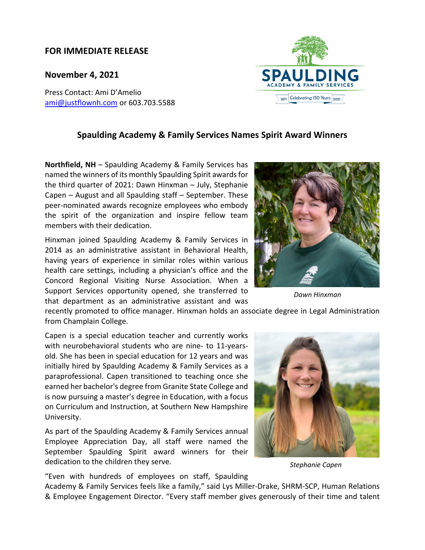## **FOR IMMEDIATE RELEASE**

**November 4, 2021**

Press Contact: Ami D'Amelio ami@justflownh.com or 603.703.5588

## **Spaulding Academy & Family Services Names Spirit Award Winners**

**Northfield, NH** – Spaulding Academy & Family Services has named the winners of its monthly Spaulding Spirit awards for the third quarter of 2021: Dawn Hinxman – July, Stephanie Capen – August and all Spaulding staff – September. These peer‐nominated awards recognize employees who embody the spirit of the organization and inspire fellow team members with their dedication.

Hinxman joined Spaulding Academy & Family Services in 2014 as an administrative assistant in Behavioral Health, having years of experience in similar roles within various health care settings, including a physician's office and the Concord Regional Visiting Nurse Association. When a Support Services opportunity opened, she transferred to that department as an administrative assistant and was

recently promoted to office manager. Hinxman holds an associate degree in Legal Administration from Champlain College.

Capen is a special education teacher and currently works with neurobehavioral students who are nine‐ to 11‐years‐ old. She has been in special education for 12 years and was initially hired by Spaulding Academy & Family Services as a paraprofessional. Capen transitioned to teaching once she earned her bachelor's degree from Granite State College and is now pursuing a master's degree in Education, with a focus on Curriculum and Instruction, at Southern New Hampshire University.

As part of the Spaulding Academy & Family Services annual Employee Appreciation Day, all staff were named the September Spaulding Spirit award winners for their dedication to the children they serve.

"Even with hundreds of employees on staff, Spaulding

Academy & Family Services feels like a family," said Lys Miller‐Drake, SHRM‐SCP, Human Relations & Employee Engagement Director. "Every staff member gives generously of their time and talent